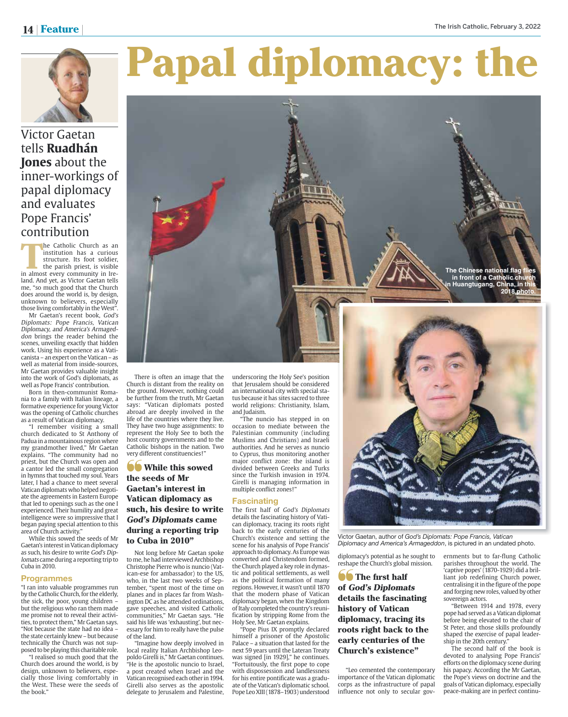**The Chinese national flag flies in front of a Catholic church Huangtugang, China, in t** 

**2018 phot** 



# Papal diplomacy: the

Victor Gaetan tells **Ruadhán Jones** about the inner-workings of papal diplomacy and evaluates Pope Francis' contribution

**The Catholic Church as an institution has a curious structure. Its foot soldier, the parish priest, is visible in almost every community in Ire**institution has a curious structure. Its foot soldier, the parish priest, is visible land. And yet, as Victor Gaetan tells me, "so much good that the Church does around the world is, by design, unknown to believers, especially those living comfortably in the West".

Mr Gaetan's recent book, God's Diplomats: Pope Francis, Vatican Diplomacy, and America's Armageddon brings the reader behind the scenes, unveiling exactly that hidden work. Using his experience as a Vaticanista – an expert on the Vatican – as well as material from inside-sources, Mr Gaetan provides valuable insight into the work of God's diplomats, as well as Pope Francis' contribution.

Born in then-communist Romania to a family with Italian lineage, a formative experience for young Victor was the opening of Catholic churches as a result of Vatican diplomacy.

"I remember visiting a small church dedicated to St Anthony of Padua in a mountainous region where my grandmother lived," Mr Gaetan explains. "The community had no priest, but the Church was open and a cantor led the small congregation in hymns that touched my soul. Years later, I had a chance to meet several Vatican diplomats who helped negotiate the agreements in Eastern Europe that led to openings such as the one I experienced. Their humility and great intelligence were so impressive that I began paying special attention to this area of Church activity."

While this sowed the seeds of Mr Gaetan's interest in Vatican diplomacy as such, his desire to write God's Diplomats came during a reporting trip to Cuba in 2010.

### **Programmes**

"I ran into valuable programmes run by the Catholic Church, for the elderly, the sick, the poor, young children but the religious who ran them made me promise not to reveal their activities, to protect them," Mr Gaetan says. "Not because the state had no idea – the state certainly knew – but because technically the Church was not supposed to be playing this charitable role.

"I realised so much good that the Church does around the world, is by design, unknown to believers, especially those living comfortably in the West. These were the seeds of the book."



abroad are deeply involved in the life of the countries where they live. They have two huge assignments: to represent the Holy See to both the host country governments and to the Catholic bishops in the nation. Two very different constituencies!"

## **b** While this sowed the seeds of Mr Gaetan's interest in Vatican diplomacy as such, his desire to write God's Diplomats came during a reporting trip to Cuba in 2010"

Not long before Mr Gaetan spoke to me, he had interviewed Archbishop Christophe Pierre who is nuncio (Vatican-ese for ambassador) to the US, who, in the last two weeks of September, "spent most of the time on planes and in places far from Washington DC as he attended ordinations, gave speeches, and visited Catholic communities," Mr Gaetan says. "He said his life was 'exhausting', but necessary for him to really have the pulse of the land.

"Imagine how deeply involved in local reality Italian Archbishop Leopoldo Girelli is," Mr Gaetan continues. "He is the apostolic nuncio to Israel, a post created when Israel and the Vatican recognised each other in 1994. Girelli also serves as the apostolic delegate to Jerusalem and Palestine, underscoring the Holy See's position that Jerusalem should be considered an international city with special status because it has sites sacred to three world religions: Christianity, Islam,

"The nuncio has stepped in on occasion to mediate between the Palestinian community (including Muslims and Christians) and Israeli authorities. And he serves as nuncio to Cyprus, thus monitoring another major conflict zone: the island is divided between Greeks and Turks since the Turkish invasion in 1974. Girelli is managing information in multiple conflict zones!"

### **Fascinating**

The first half of God's Diplomats details the fascinating history of Vatican diplomacy, tracing its roots right back to the early centuries of the Church's existence and setting the scene for his analysis of Pope Francis' approach to diplomacy. As Europe was converted and Christendom formed, the Church played a key role in dynastic and political settlements, as well as the political formation of many regions. However, it wasn't until 1870 that the modern phase of Vatican diplomacy began, when the Kingdom of Italy completed the country's reunification by stripping Rome from the Holy See, Mr Gaetan explains.

"Pope Pius IX promptly declared himself a prisoner of the Apostolic Palace – a situation that lasted for the next 59 years until the Lateran Treaty was signed [in 1929]," he continues. "Fortuitously, the first pope to cope with dispossession and landlessness for his entire pontificate was a graduate of the Vatican's diplomatic school. Pope Leo XIII (1878–1903) understood



Victor Gaetan, author of *God's Diplomats: Pope Francis, Vatican Diplomacy and America's Armageddon*, is pictured in an undated photo.

diplomacy's potential as he sought to reshape the Church's global mission.

**S** The first half of God's Diplomats details the fascinating history of Vatican diplomacy, tracing its roots right back to the early centuries of the Church's existence"

"Leo cemented the contemporary importance of the Vatican diplomatic corps as the infrastructure of papal influence not only to secular governments but to far-flung Catholic parishes throughout the world. The 'captive popes' (1870-1929) did a brilliant job redefining Church power, centralising it in the figure of the pope and forging new roles, valued by other sovereign actors.

"Between 1914 and 1978, every pope had served as a Vatican diplomat before being elevated to the chair of St Peter, and those skills profoundly shaped the exercise of papal leadership in the 20th century."

The second half of the book is devoted to analysing Pope Francis' efforts on the diplomacy scene during his papacy. According the Mr Gaetan, the Pope's views on doctrine and the goals of Vatican diplomacy, especially peace-making are in perfect continu-